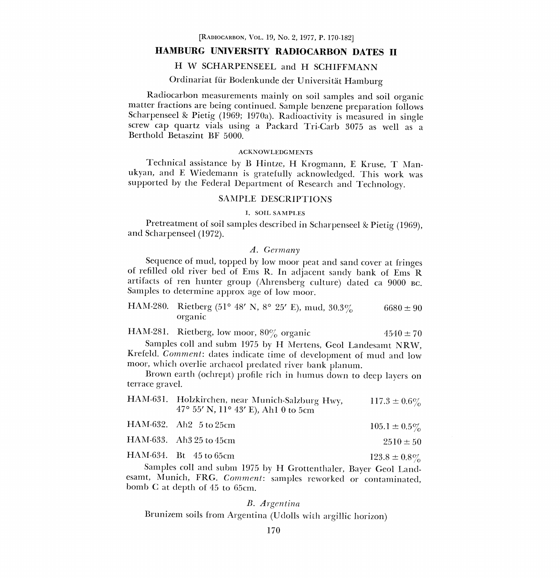[RADIOCARBON, VOL. 19, No. 2, 1977, P. 170-182]

# HAMBURG UNIVERSITY RADIOCARBON DATES II

# H W SCHARPENSEEL and H SCHIFFMANN

# Ordinariat für Bodenkunde der Universität Hamburg

Radiocarbon measurements mainly on soil samples and soil organic matter fractions are being continued. Sample benzene preparation follows Scharpenseel & Pietig (1969; 1970a). Radioactivity is measured in single screw cap quartz vials using a Packard Tri-Garb 3075 as well as a Berthold Betaszint BF 5000.

#### ACKNOWLEDGMENTS

Technical assistance by B Hintze, H Krogmann, E Kruse, T Manukyan, and E Wiedemann is gratefully acknowledged. This work was supported by the Federal Department of Research and Technology.

# SAMPLE DESCRIPTIONS

#### I. SOIL SAMPLES

Pretreatment of soil samples described in Scharpenseel & Pietig (1969), and Scharpenseel (1972).

#### A. Germany

Sequence of mud, topped by low moor peat and sand cover at fringes of refilled old river bed of Ems R. In adjacent sandy bank of Ems <sup>R</sup> artifacts of ren hunter group (Ahrensberg culture) dated ca 9000 BC. Samples to determine approx age of low moor.

| HAM-280. Rietberg (51° 48′ N, 8° 25′ E), mud, 30.3% |  |  | $6680 \pm 90$ |
|-----------------------------------------------------|--|--|---------------|
| organic                                             |  |  |               |

|  | HAM-281. Rietberg, low moor, 80% organic | $4540 \pm 70$ |
|--|------------------------------------------|---------------|
|--|------------------------------------------|---------------|

Samples coil and subm 1975 by H Mertens, Geol Landesamt NRW, Krefeld. Comment: dates indicate time of development of mud and low moor, which overlie archaeol predated river bank planum.

Brown earth (ochrept) profile rich in humus down to deep layers on terrace gravel.

| HAM-631. Holzkirchen, near Munich-Salzburg Hwy,<br>47° 55′ N, 11° 43′ E), Ah1 0 to 5cm | $117.3 \pm 0.6\%$ |
|----------------------------------------------------------------------------------------|-------------------|
| HAM-632. Ah2 5 to 25cm                                                                 | $105.1 \pm 0.5\%$ |

|  | HAM-634. Bt 45 to 65cm | $123.8 \pm 0.8\%$ |
|--|------------------------|-------------------|
|  |                        |                   |

Samples coil and subm 1975 by H Grottenthaler, Bayer Geol Landesamt, Munich, FRG. Comment: samples reworked or contaminated, bomb C at depth of 45 to 65cm.

#### B. Argentina

Brunizem soils from Argentina (Udolls with argillic horizon)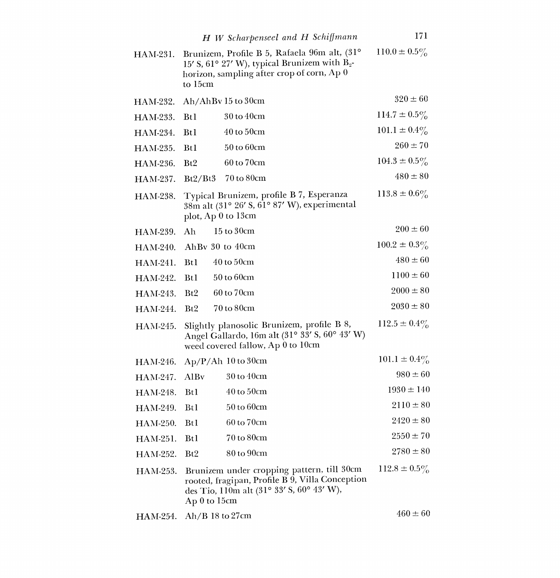|          | H W Scharpenseel and H Schiffmann                                                                                                                          | 171               |
|----------|------------------------------------------------------------------------------------------------------------------------------------------------------------|-------------------|
| HAM-231. | Brunizem, Profile B 5, Rafaela 96m alt, (31°<br>15' S, 61° 27' W), typical Brunizem with $B_2$ -<br>horizon, sampling after crop of corn, Ap 0<br>to 15cm  | $110.0 \pm 0.5\%$ |
| HAM-232. | Ah/AhBv 15 to 30cm                                                                                                                                         | $320 \pm 60$      |
| HAM-233. | 30 to 40cm<br><b>Btl</b>                                                                                                                                   | $114.7 \pm 0.5\%$ |
| HAM-234. | $40$ to $50$ cm<br><b>Bt1</b>                                                                                                                              | $101.1 \pm 0.4\%$ |
| HAM-235. | 50 to 60cm<br>Bt1                                                                                                                                          | $260 \pm 70$      |
| HAM-236. | 60 to 70cm<br>Bt2                                                                                                                                          | $104.3 \pm 0.5\%$ |
| HAM-237. | 70 to 80cm<br>Bt2/Bt3                                                                                                                                      | $480 \pm 80$      |
| HAM-238. | Typical Brunizem, profile B 7, Esperanza<br>38m alt (31° 26' S, 61° 87' W), experimental<br>plot, Ap 0 to 13cm                                             | $113.8 \pm 0.6\%$ |
| HAM-239. | $15$ to $30cm$<br>Ah                                                                                                                                       | $200 \pm 60$      |
| HAM-240. | AhBy $30$ to $40cm$                                                                                                                                        | $100.2 \pm 0.3\%$ |
| HAM-241. | $40$ to $50$ cm<br><b>Bt1</b>                                                                                                                              | $480 \pm 60$      |
| HAM-242. | 50 to 60cm<br><b>Bt1</b>                                                                                                                                   | $1100 \pm 60$     |
| HAM-243. | 60 to 70cm<br>Bt2                                                                                                                                          | $2000 \pm 80$     |
| HAM-244. | 70 to 80cm<br>Bt2                                                                                                                                          | $2030 \pm 80$     |
| HAM-245. | Slightly planosolic Brunizem, profile B 8,<br>Angel Gallardo, 16m alt (31° 33' S, 60° 43' W)<br>weed covered fallow, Ap 0 to 10cm                          | $112.5 \pm 0.4\%$ |
| HAM-246. | Ap/P/Ah 10 to 30cm                                                                                                                                         | $101.1 \pm 0.4\%$ |
| HAM-247. | 30 to 40cm<br>AlBy                                                                                                                                         | $980 \pm 60$      |
| HAM-248. | $40$ to $50$ cm<br><b>Bt1</b>                                                                                                                              | $1930 \pm 140$    |
| HAM-249. | $50$ to $60cm$<br><b>Btl</b>                                                                                                                               | $2110 \pm 80$     |
| HAM-250. | 60 to 70cm<br><b>Bt1</b>                                                                                                                                   | $2420 \pm 80$     |
| HAM-251. | 70 to 80cm<br>Bt1                                                                                                                                          | $2550 \pm 70$     |
| HAM-252. | 80 to 90cm<br>Bt2                                                                                                                                          | $2780 \pm 80$     |
| HAM-253. | Brunizem under cropping pattern, till 30cm<br>rooted, fragipan, Profile B 9, Villa Conception<br>des Tio, 110m alt (31° 33' S, 60° 43' W),<br>Ap 0 to 15cm | $112.8 \pm 0.5\%$ |
| HAM-254. | $Ah/B$ 18 to 27cm                                                                                                                                          | $460 \pm 60$      |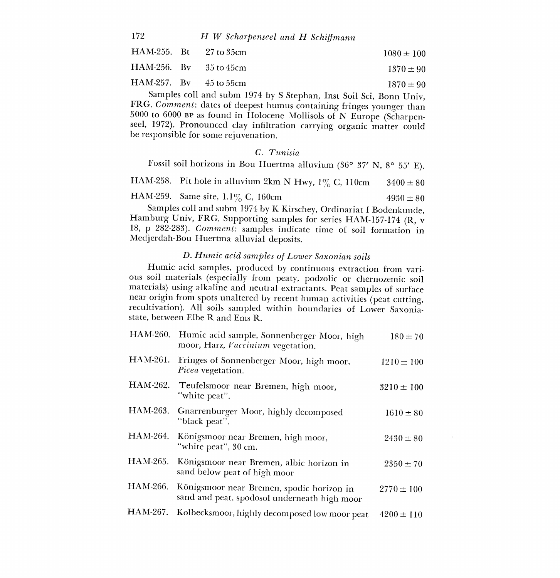| 172 |  | H W Scharpenseel and H Schiffmann |  |  |  |
|-----|--|-----------------------------------|--|--|--|
|-----|--|-----------------------------------|--|--|--|

|                            | $HAM-255$ . Bt $27$ to 35cm   | $1080 \pm 100$ |
|----------------------------|-------------------------------|----------------|
|                            | $HAM-256$ . By $35$ to $45cm$ | $1370 \pm 90$  |
| $HAM-257.$ By $45$ to 55cm |                               | $1870 \pm 90$  |

Samples coll and subm 1974 by S Stephan, Inst Soil Sci, Bonn Univ, FRG. Comment: dates of deepest humus containing fringes younger than 5000 to 6000 BP as found in Holocene Mollisols of N Europe (Scharpenseel, 1972). Pronounced clay infiltration carrying organic matter could be responsible for some rejuvenation.

### C. Tunisia

Fossil soil horizons in Bou Huertma alluvium (36° 37' N, 8° 55' E).

HAM-258. Pit hole in alluvium 2km N Hwy,  $1\%$  C, 110cm  $3400 \pm 80$ 

HAM-259. Same site,  $1.1\%$  C, 160cm  $4930 \pm 80$ <br>Samples coll and subm 1974 by K Kirschey, Ordinariat f Bodenkunde,

Hamburg Univ, FRG. Supporting samples for series HAM-157-174 (R, v 18, p 282-283). Comment: samples indicate time of soil formation in Medjerdah-Bou Huertma alluvial deposits.

# D. Humic acid samples of Lower Saxonian soils

Humic acid samples, produced by continuous extraction from various soil materials (especially from peaty, podzolic or chernozemic soil materials) using alkaline and neutral extractants. Peat samples of surface recultivation). All soils sampled within boundaries of Lower Saxoniastate, between Elbe R and Ems R.

| HAM-260. | Humic acid sample, Sonnenberger Moor, high<br>moor, Harz, Vaccinium vegetation.           | $180 \pm 70$   |  |
|----------|-------------------------------------------------------------------------------------------|----------------|--|
| HAM-261. | Fringes of Sonnenberger Moor, high moor,<br>Picea vegetation.                             | $1210 \pm 100$ |  |
| HAM-262. | Teufelsmoor near Bremen, high moor,<br>"white peat".                                      | $3210 \pm 100$ |  |
| HAM-263. | Gnarrenburger Moor, highly decomposed<br>"black peat".                                    | $1610 \pm 80$  |  |
| HAM-264. | Königsmoor near Bremen, high moor,<br>"white peat", 30 cm.                                | $2430 \pm 80$  |  |
| HAM-265. | Königsmoor near Bremen, albic horizon in<br>sand below peat of high moor                  | $2350 \pm 70$  |  |
| HAM-266. | Königsmoor near Bremen, spodic horizon in<br>sand and peat, spodosol underneath high moor | $2770 \pm 100$ |  |
| HAM-267. | Kolbecksmoor, highly decomposed low moor peat                                             | $4200 \pm 110$ |  |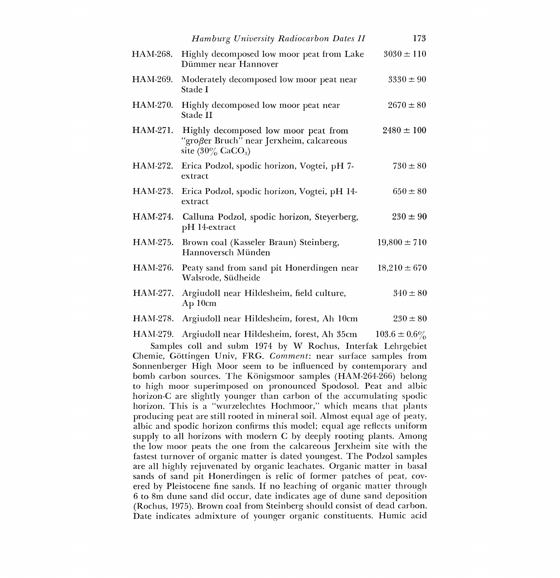|                 | Hamburg University Radiocarbon Dates II                                                                              | 173               |  |
|-----------------|----------------------------------------------------------------------------------------------------------------------|-------------------|--|
| HAM-268.        | Highly decomposed low moor peat from Lake<br>Dümmer near Hannover                                                    | $3030 \pm 110$    |  |
| HAM-269.        | Moderately decomposed low moor peat near<br>Stade I                                                                  | $3330 \pm 90$     |  |
| <b>HAM-270.</b> | Highly decomposed low moor peat near<br>Stade II                                                                     | $2670 \pm 80$     |  |
| HAM-271.        | Highly decomposed low moor peat from<br>"großer Bruch" near Jerxheim, calcareous<br>site $(30\%$ CaCO <sub>3</sub> ) | $2480 \pm 100$    |  |
| HAM-272.        | Erica Podzol, spodic horizon, Vogtei, pH 7-<br>extract                                                               | $730 \pm 80$      |  |
| HAM-273.        | Erica Podzol, spodic horizon, Vogtei, pH 14-<br>extract                                                              | $650 \pm 80$      |  |
| HAM-274.        | Calluna Podzol, spodic horizon, Steyerberg,<br>pH 14-extract                                                         | $230 \pm 90$      |  |
| HAM-275.        | Brown coal (Kasseler Braun) Steinberg,<br>Hannoversch Münden                                                         | $19,800 \pm 710$  |  |
| HAM-276.        | Peaty sand from sand pit Honerdingen near<br>Walsrode, Südheide                                                      | $18,210 \pm 670$  |  |
| HAM-277.        | Argiudoll near Hildesheim, field culture,<br>$Ap$ 10 $cm$                                                            | $340 \pm 80$      |  |
| HAM-278.        | Argiudoll near Hildesheim, forest, Ah 10cm                                                                           | $230 \pm 80$      |  |
| HAM-279.        | Argiudoll near Hildesheim, forest, Ah 35cm                                                                           | $103.6 \pm 0.6\%$ |  |

Samples coil and subm 1974 by W Rochus, Interfak Lehrgebiet Chemie, Gottingen Univ, FRG. Comment: near surface samples from Sonnenberger High Moor seem to be influenced by contemporary and bomb carbon sources. The Königsmoor samples (HAM-264-266) belong to high moor superimposed on pronounced Spodosol. Peat and albic horizon-C are slightly younger than carbon of the accumulating spodic horizon. This is a "wurzelechtes Hochmoor," which means that plants producing peat are still rooted in mineral soil. Almost equal age of peaty, albic and spodic horizon confirms this model; equal age reflects uniform supply to all horizons with modern C by deeply rooting plants. Among the low moor peats the one from the calcareous Jerxheim site with the fastest turnover of organic matter is dated youngest. The Podzol samples are all highly rejuvenated by organic leachates. Organic matter in basal sands of sand pit Honerdingen is relic of former patches of peat, cov ered by Pleistocene fine sands. If no leaching of organic matter through 6 to 8m dune sand did occur, date indicates age of dune sand deposition (Rochus, 1975). Brown coal from Steinberg should consist of dead carbon. Date indicates admixture of younger organic constituents. Humic acid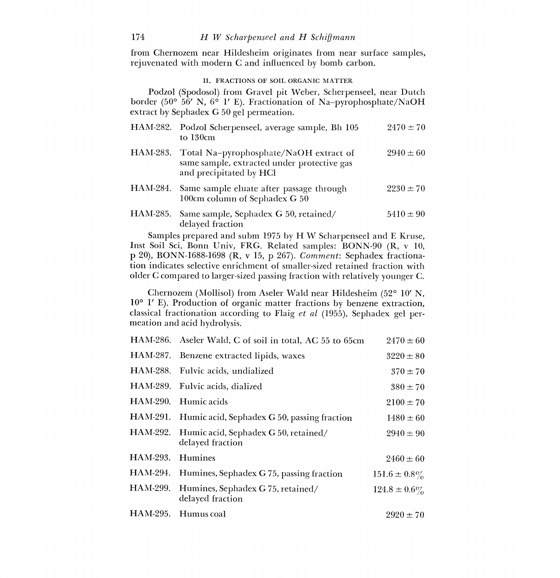from Chernozem near Hildesheim originates from near surface samples, rejuvenated with modern C and influenced by bomb carbon.

### II. FRACTIONS OF SOIL ORGANIC MATTER

Podzol (Spodosol) from Gravel pit Weber, Scherpenseel, near Dutch border (50° 56' N, 6° 1' E). Fractionation of Na-pyrophosphate/NaOH extract by Sephadex G 50 gel permeation.

|          | HAM-282. Podzol Scherpenseel, average sample, Bh 105<br>to $130cm$                                               | $2470 \pm 70$ |
|----------|------------------------------------------------------------------------------------------------------------------|---------------|
| HAM-283. | Total Na-pyrophosphate/NaOH extract of<br>same sample, extracted under protective gas<br>and precipitated by HCl | $2940 \pm 60$ |
| HAM-284. | Same sample eluate after passage through<br>100cm column of Sephadex G 50                                        | $2230 \pm 70$ |
| HAM-285. | Same sample, Sephadex G 50, retained/<br>delayed fraction                                                        | $5410 \pm 90$ |

Samples prepared and subm 1975 by H W Scharpenseel and E Kruse, Inst Soil Sci, Bonn Univ, FRG. Related samples: BONN-90 (R, v 10, p 20), BONN-1688-1698 (R, v 15, p 267). Comment: Sephadex fractionation indicates selective enrichment of smaller-sized retained fraction with older C compared to larger-sized passing fraction with relatively younger C.

Chernozem (Mollisol) from Aseler Wald near Hildesheim (52° 10' N, 10° 1' E). Production of organic matter fractions by benzene extraction, classical fractionation according to Flaig et al (1955), Sephadex gel permeation and acid hydrolysis.

|                 | HAM-286. Aseler Wald, C of soil in total, AC 55 to 65cm           | $2470 \pm 60$     |  |
|-----------------|-------------------------------------------------------------------|-------------------|--|
|                 | HAM-287. Benzene extracted lipids, waxes                          | $3220 \pm 80$     |  |
|                 | HAM-288. Fulvic acids, undialized                                 | $370 \pm 70$      |  |
|                 | HAM-289. Fulvic acids, dialized                                   | $380 \pm 70$      |  |
| <b>HAM-290.</b> | Humic acids                                                       | $2100 \pm 70$     |  |
|                 | HAM-291. Humic acid, Sephadex G 50, passing fraction              | $1480 \pm 60$     |  |
|                 | HAM-292. Humic acid, Sephadex G 50, retained/<br>delayed fraction | $2940 \pm 90$     |  |
| HAM-293.        | Humines                                                           | $2460 \pm 60$     |  |
| HAM-294.        | Humines, Sephadex G 75, passing fraction                          | $151.6 \pm 0.8\%$ |  |
| HAM-299.        | Humines, Sephadex G 75, retained/<br>delayed fraction             | $124.8 \pm 0.6\%$ |  |
| HAM-295.        | Humus coal                                                        | $2920 \pm 70$     |  |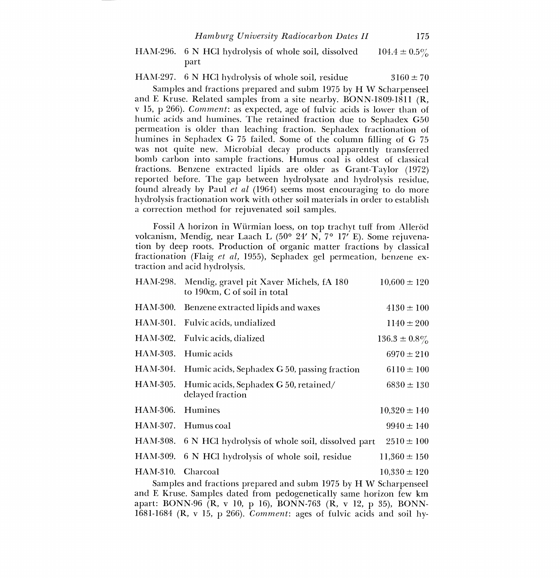#### HAM-296. 6 N HC1 hydrolysis of whole soil, dissolved part  $104.4 \pm 0.5\%$

HAM-297. 6 N HCl hydrolysis of whole soil, residue  $3160 \pm 70$ 

Samples and fractions prepared and subm 1975 by H W Scharpenseel and E Kruse. Related samples from a site nearby. BONN-1809-1811 (R, v 15, p 266). *Comment*: as expected, age of fulvic acids is lower than of humic acids and humines. The retained fraction due to Sephadex G50 permeation is older than leaching fraction. Sephadex fractionation of humines in Sephadex G 75 failed. Some of the column filling of G 75 was not quite new. Microbial decay products apparently transferred bomb carbon into sample fractions. Humus coal is oldest of classical fractions. Benzene extracted lipids are older as Grant-Taylor (1972) reported before. The gap between hydrolysate and hydrolysis residue, found already by Paul et al (1964) seems most encouraging to do more hydrolysis fractionation work with other soil materials in order to establish a correction method for rejuvenated soil samples.

Fossil A horizon in Würmian loess, on top trachyt tuff from Alleröd volcanism, Mendig, near Laach L (50° 24' N, 7° 17' E). Some rejuvenation by deep roots. Production of organic matter fractions by classical fractionation (Flaig *et al*, 1955), Sephadex gel permeation, benzene ex-<br>traction and acid hydrolysis.

|                                                                     | HAM-298. Mendig, gravel pit Xaver Michels, fA 180<br>to 190cm, C of soil in total | $10,600 \pm 120$  |  |
|---------------------------------------------------------------------|-----------------------------------------------------------------------------------|-------------------|--|
| HAM-300.                                                            | Benzene extracted lipids and waxes                                                | $4130 \pm 100$    |  |
|                                                                     | HAM-301. Fulvic acids, undialized                                                 | $1140 \pm 200$    |  |
|                                                                     | HAM-302. Fulvic acids, dialized                                                   | $136.3 \pm 0.8\%$ |  |
| HAM-303.                                                            | Humic acids                                                                       | $6970 \pm 210$    |  |
| HAM-304.                                                            | Humic acids, Sephadex G 50, passing fraction                                      | $6110 \pm 100$    |  |
| HAM-305.                                                            | Humic acids, Sephadex G 50, retained/<br>delayed fraction                         | $6830 \pm 130$    |  |
| HAM-306.                                                            | Humines                                                                           | $10,320 \pm 140$  |  |
|                                                                     | HAM-307. Humus coal                                                               | $9940 \pm 140$    |  |
| HAM-308.                                                            | 6 N HCl hydrolysis of whole soil, dissolved part                                  | $2510 \pm 100$    |  |
|                                                                     | HAM-309. 6 N HCl hydrolysis of whole soil, residue                                | $11,360 \pm 150$  |  |
| HAM-310. Charcoal                                                   | Samples and fractions prepared and subm 1975 by H W Scharpenseel                  | $10.330 \pm 120$  |  |
| and E Kruse Samples dated from pedecepatically same borizon four km |                                                                                   |                   |  |

and E Kruse. Samples dated from pedogenetically same horizon few km apart: BONN-96 (R, v 10, p 16), BONN-763 (R, v 12, p 35), BONN-1681-1684 (R, v 15, p 266). Comment: ages of fulvic acids and soil hy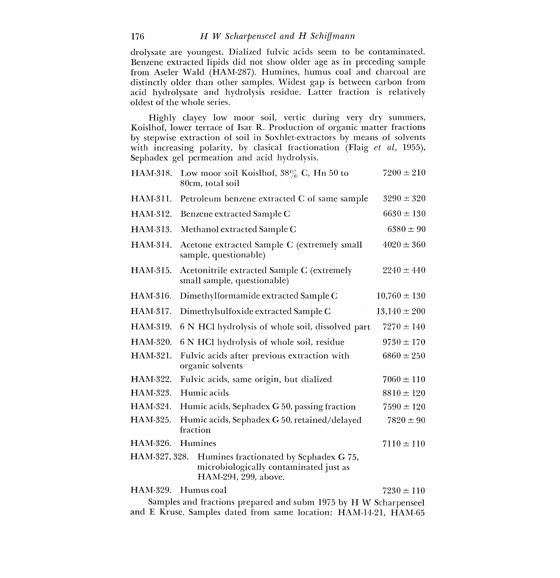drolysate are youngest. Dialized fulvic acids seem to be contaminated. Benzene extracted lipids did not show older age as in preceding sample from Aseler Wald (HAM-287). Humines, humus coal and charcoal are distinctly older than other samples. Widest gap is between carbon from acid hydrolysate and hydrolysis residue. Latter fraction is relatively oldest of the whole series.

Highly clayey low moor soil, vertic during very dry summers, Koislhof, lower terrace of Isar R. Production of organic matter fractions by stepwise extraction of soil in Soxhlet-extractors by means of solvents with increasing polarity, by clasical fractionation (Flaig et al, 1955), Sephadex gel permeation and acid hydrolysis.

| HAM-318.        | Low moor soil Koislhof, $38\%$ C, Hn 50 to<br>80cm, total soil                                           | $7200 \pm 210$                                                   |  |  |
|-----------------|----------------------------------------------------------------------------------------------------------|------------------------------------------------------------------|--|--|
| HAM-311.        | Petroleum benzene extracted C of same sample                                                             | $3290 \pm 320$                                                   |  |  |
| HAM-312.        | Benzene extracted Sample C                                                                               | $6630 \pm 130$                                                   |  |  |
| HAM-313.        | Methanol extracted Sample C                                                                              | $6380 \pm 90$                                                    |  |  |
| HAM-314.        | Acetone extracted Sample C (extremely small<br>sample, questionable)                                     | $4020 \pm 360$                                                   |  |  |
| HAM-315.        | Acetonitrile extracted Sample C (extremely<br>small sample, questionable)                                | $2240 \pm 440$                                                   |  |  |
| HAM-316.        | Dimethylformamide extracted Sample C                                                                     | $10,760 \pm 130$                                                 |  |  |
| HAM-317.        | Dimethylsulfoxide extracted Sample C                                                                     | $13,140 \pm 200$                                                 |  |  |
| HAM-319.        | 6 N HCl hydrolysis of whole soil, dissolved part                                                         | $7270 \pm 140$                                                   |  |  |
| HAM-320.        | 6 N HCl hydrolysis of whole soil, residue                                                                | $9730 \pm 170$                                                   |  |  |
| HAM-321.        | Fulvic acids after previous extraction with<br>organic solvents                                          | $6860 \pm 250$                                                   |  |  |
| HAM-322.        | Fulvic acids, same origin, but dialized                                                                  | $7060 \pm 110$                                                   |  |  |
| HAM-323.        | Humic acids                                                                                              | $8810 \pm 120$                                                   |  |  |
| HAM-324.        | Humic acids, Sephadex G 50, passing fraction                                                             | $7590 \pm 120$                                                   |  |  |
| HAM-325.        | Humic acids, Sephadex G 50, retained/delayed<br>fraction                                                 | $7820 \pm 90$                                                    |  |  |
| HAM-326.        | Humines                                                                                                  | $7110 \pm 110$                                                   |  |  |
| HAM-327, 328.   | Humines fractionated by Sephadex G 75,<br>microbiologically contaminated just as<br>HAM-294, 299, above. |                                                                  |  |  |
| <b>HAM-329.</b> | Humus coal                                                                                               | $7230 \pm 110$                                                   |  |  |
|                 |                                                                                                          | Samples and fractions prepared and subm 1975 by H W Scharpenseel |  |  |

and E Kruse. Samples dated from same location: HAM-14-21, HAM-65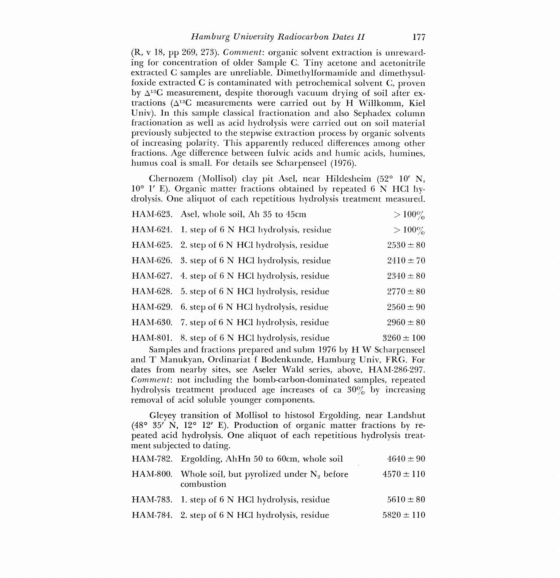(R, v 18, pp 269, 273). Comment: organic solvent extraction is unrewarding for concentration of older Sample C. Tiny acetone and acetonitrile extracted C samples are unreliable. Dimethylformamide and dimethysulfoxide extracted C is contaminated with petrochemical solvent C, proven by  $\Delta^{13}$ C measurement, despite thorough vacuum drying of soil after extractions ( $\Delta^{13}$ C measurements were carried out by H Willkomm, Kiel Univ. In this sample classical fractionation and also Sephadex column fractionation as well as acid hydrolysis were carried out on soil material previously subjected to the stepwise extraction process by organic solvents of increasing polarity. This apparently reduced differences among other fractions. Age difference between fulvic acids and humic acids, humines, humus coal is small. For details see Scharpenseel (1976).

Chernozem (Mollisol) clay pit Asel, near Hildesheim (52° 10' N, 10° 1' E). Organic matter fractions obtained by repeated 6 N HC1 hydrolysis. One aliquot of each repetitious hydrolysis treatment measured.

| HAM-623. Asel, whole soil, Ah 35 to 45cm        | $>100\%$       |
|-------------------------------------------------|----------------|
| HAM-624. 1. step of 6 N HCl hydrolysis, residue | $>100\%$       |
| HAM-625. 2. step of 6 N HCl hydrolysis, residue | $2530 \pm 80$  |
| HAM-626. 3. step of 6 N HCl hydrolysis, residue | $2410 \pm 70$  |
| HAM-627. 4. step of 6 N HCl hydrolysis, residue | $2340 \pm 80$  |
| HAM-628. 5. step of 6 N HCl hydrolysis, residue | $2770 \pm 80$  |
| HAM-629. 6. step of 6 N HCl hydrolysis, residue | $2560 \pm 90$  |
| HAM-630. 7. step of 6 N HCl hydrolysis, residue | $2960 \pm 80$  |
| HAM-801. 8. step of 6 N HCl hydrolysis, residue | $3260 \pm 100$ |

Samples and fractions prepared and subm 1976 by H W Scharpenseel and T Manukyan, Ordinariat f Bodenkunde, Hamburg Univ, FRG. For dates from nearby sites, see Aseler Wald series, above, HAM-286-297. Comment: not including the bomb-carbon-dominated samples, repeated hydrolysis treatment produced age increases of ca 30% by increasing removal of acid soluble younger components.

Gleyey transition of Mollisol to histosol Ergolding, near Landshut (48° 35' N, 12° 12' E). Production of organic matter fractions by repeated acid hydrolysis. One aliquot of each repetitious hydrolysis treatment subjected to dating.

| HAM-782. Ergolding, AhHn 50 to 60cm, whole soil                     | $4640 \pm 90$  |
|---------------------------------------------------------------------|----------------|
| HAM-800. Whole soil, but pyrolized under $N_2$ before<br>combustion | $4570 \pm 110$ |
| HAM-783. 1. step of 6 N HCl hydrolysis, residue                     | $5610 \pm 80$  |
| HAM-784. 2. step of 6 N HCl hydrolysis, residue                     | $5820 \pm 110$ |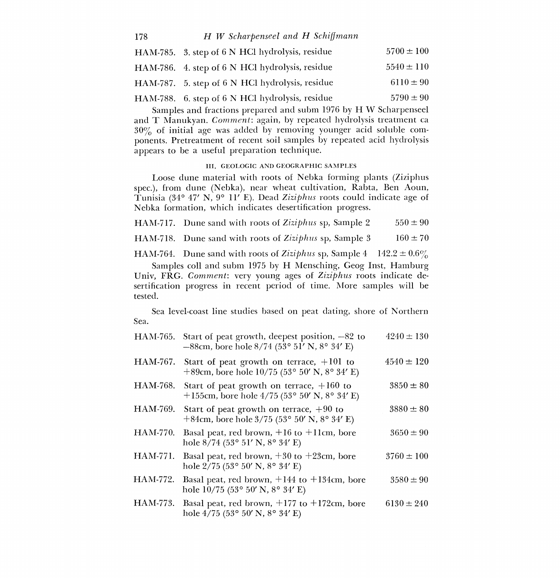## 178 H W Scharpenseel and H Schiffmann

| HAM-785. 3. step of 6 N HCl hydrolysis, residue | $5700 \pm 100$ |
|-------------------------------------------------|----------------|
| HAM-786. 4. step of 6 N HCl hydrolysis, residue | $5540 \pm 110$ |
| HAM-787. 5. step of 6 N HCl hydrolysis, residue | $6110 \pm 90$  |
| HAM-788. 6. step of 6 N HCl hydrolysis, residue | $5790 \pm 90$  |

Samples and fractions prepared and subm 1976 by H W Scharpenseel<br>and T Manukyan. Comment: again, by repeated hydrolysis treatment ca  $30\%$  of initial age was added by removing younger acid soluble components. Pretreatment of recent soil samples by repeated acid hydrolysis appears to be a useful preparation technique.

#### III, GEOLOGIC AND GEOGRAPHIC SAMPLES

Loose dune material with roots of Nebka forming plants (Ziziphus spec.), from dune (Nebka), near wheat cultivation, Rabta, Ben Aoun, Tunisia (34° 47' N, 9° 11' E). Dead Ziziphus roots could indicate age of Nebka formation, which indicates desertification progress.

HAM-717. Dune sand with roots of Ziziphus sp, Sample 2  $550 \pm 90$ 

HAM-718. Dune sand with roots of Ziziphus sp, Sample  $3 \qquad 160 \pm 70$ 

HAM-764. Dune sand with roots of Ziziphus sp, Sample 4  $142.2 \pm 0.6\%$ 

Samples coll and subm 1975 by H Mensching, Geog Inst, Hamburg Univ, FRG. Comment: very young ages of Ziziphus roots indicate desertification progress in recent period of time. More samples will be tested.

Sea. Sea level-coast line studies based on peat dating, shore of Northern

| HAM-765. | Start of peat growth, deepest position, $-82$ to<br>$-88$ cm, bore hole $8/74$ (53° 51′ N, 8° 34′ E) | $4240 \pm 130$ |  |
|----------|------------------------------------------------------------------------------------------------------|----------------|--|
| HAM-767. | Start of peat growth on terrace, $+101$ to<br>+89cm, bore hole $10/75$ (53° 50′ N, 8° 34′ E)         | $4540 \pm 120$ |  |
| HAM-768. | Start of peat growth on terrace, $+160$ to<br>+155cm, bore hole 4/75 (53° 50′ N, 8° 34′ E)           | $3850 \pm 80$  |  |
| HAM-769. | Start of peat growth on terrace, $+90$ to<br>+84cm, bore hole $3/75$ (53° 50' N, 8° 34' E)           | $3880 \pm 80$  |  |
| HAM-770. | Basal peat, red brown, $+16$ to $+11$ cm, bore<br>hole $8/74$ (53° 51′ N, 8° 34′ E)                  | $3650 \pm 90$  |  |
| HAM-771. | Basal peat, red brown, $+30$ to $+23$ cm, bore<br>hole $2/75$ (53° 50' N, 8° 34' E)                  | $3760 \pm 100$ |  |
| HAM-772. | Basal peat, red brown, $+144$ to $+134$ cm, bore<br>hole $10/75$ (53° 50' N, 8° 34' E)               | $3580 \pm 90$  |  |
| HAM-773. | Basal peat, red brown, $+177$ to $+172$ cm, bore<br>hole $4/75$ (53° 50′ N, 8° 34′ E)                | $6130 \pm 240$ |  |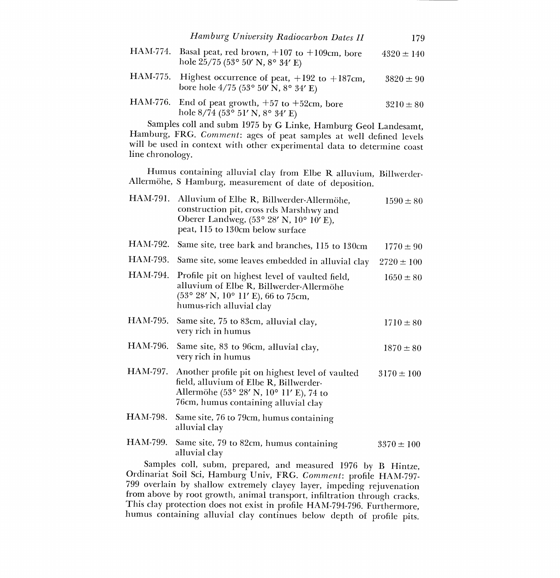| HAM-774. Basal peat, red brown, $+107$ to $+109$ cm, bore<br>hole $25/75$ (53° 50′ N, 8° 34′ E)     | $4320 \pm 140$ |
|-----------------------------------------------------------------------------------------------------|----------------|
| HAM-775. Highest occurrence of peat, $+192$ to $+187$ cm,<br>bore hole $4/75$ (53° 50′ N, 8° 34′ E) | $3820 \pm 90$  |
| HAM-776. End of peat growth, $+57$ to $+52$ cm, bore<br>hole $8/74$ (53° 51′ N, 8° 34′ E)           | $3210 \pm 80$  |

Samples coil and subm 1975 by G Linke, Hamburg Geol Landesamt, Hamburg, FRG. Comment: ages of peat samples at well defined levels will be used in context with other experimental data to determine coast line chronology.

Humus containing alluvial clay from Elbe R alluvium, Billwerder-Allermohe, S Hamburg, measurement of date of deposition.

| HAM-791. | Alluvium of Elbe R, Billwerder-Allermöhe,<br>construction pit, cross rds Marshhwy and<br>Oberer Landweg, (53° 28' N, 10° 10' E),<br>peat, 115 to 130cm below surface         | $1590 \pm 80$  |  |
|----------|------------------------------------------------------------------------------------------------------------------------------------------------------------------------------|----------------|--|
| HAM-792. | Same site, tree bark and branches, 115 to 130cm                                                                                                                              | $1770 \pm 90$  |  |
| HAM-793. | Same site, some leaves embedded in alluvial clay                                                                                                                             | $2720 \pm 100$ |  |
| HAM-794. | Profile pit on highest level of vaulted field,<br>alluvium of Elbe R, Billwerder-Allermöhe<br>(53° 28' N, 10° 11' E), 66 to 75cm,<br>humus-rich alluvial clay                | $1650 \pm 80$  |  |
| HAM-795. | Same site, 75 to 83cm, alluvial clay,<br>very rich in humus                                                                                                                  | $1710 \pm 80$  |  |
| HAM-796. | Same site, 83 to 96cm, alluvial clay,<br>very rich in humus                                                                                                                  | $1870 \pm 80$  |  |
| HAM-797. | Another profile pit on highest level of vaulted<br>field, alluvium of Elbe R, Billwerder-<br>Allermöhe (53° 28' N, 10° 11' E), 74 to<br>76cm, humus containing alluvial clay | $3170 \pm 100$ |  |
|          | HAM-798. Same site, 76 to 79cm, humus containing<br>alluvial clay                                                                                                            |                |  |
| HAM-799. | Same site, 79 to 82cm, humus containing<br>alluvial clay                                                                                                                     | $3370 \pm 100$ |  |
|          | Samples coll, subm, prepared, and measured 1976 by B Hintze,<br>$\Omega_{\rm m}$ . The state of $\Omega$ is the state of $\Omega_{\rm m}$ is the state of $\Omega_{\rm m}$   |                |  |

Ordinariat Soil Sci, Hamburg Univ, FRG. Comment: profile HAM-797-799 overlain by shallow extremely clayey layer, impeding rejuvenation from above by root growth, animal transport, infiltration through cracks. This clay protection does not exist in profile HAM-794-796. Furthermore, humus containing alluvial clay continues below depth of profile pits.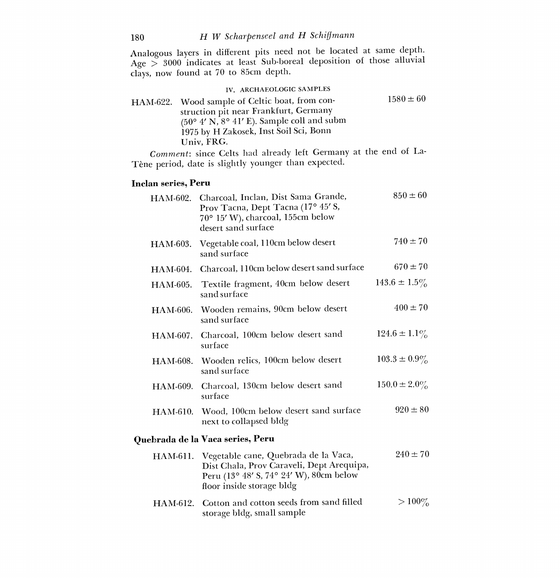Analogous layers in different pits need not be located at same depth. Age  $>$  3000 indicates at least Sub-boreal deposition of those alluvial clays, now found at 70 to 85cm depth.

| IV. ARCHAEOLOGIC SAMPLES                                                                |               |
|-----------------------------------------------------------------------------------------|---------------|
| HAM-622. Wood sample of Celtic boat, from con-<br>struction pit near Frankfurt, Germany | $1580 \pm 60$ |
| (50° 4′ N, 8° 41′ E). Sample coll and subm<br>1975 by H Zakosek, Inst Soil Sci, Bonn    |               |
| Univ. FRG.                                                                              |               |

Comment: since Celts had already left Germany at the end of La-Tène period, date is slightly younger than expected.

## Inclan series, Peru

|          | HAM-602. Charcoal, Inclan, Dist Sama Grande,<br>Prov Tacna, Dept Tacna (17° 45' S,<br>70° 15' W), charcoal, 155cm below<br>desert sand surface            | $850 \pm 60$      |  |
|----------|-----------------------------------------------------------------------------------------------------------------------------------------------------------|-------------------|--|
| HAM-603. | Vegetable coal, 110cm below desert<br>sand surface                                                                                                        | $740 \pm 70$      |  |
| HAM-604. | Charcoal, 110cm below desert sand surface                                                                                                                 | $670 \pm 70$      |  |
| HAM-605. | Textile fragment, 40cm below desert<br>sand surface                                                                                                       | $143.6 \pm 1.5\%$ |  |
|          | HAM-606. Wooden remains, 90cm below desert<br>sand surface                                                                                                | $400 \pm 70$      |  |
| HAM-607. | Charcoal, 100cm below desert sand<br>surface                                                                                                              | $124.6 \pm 1.1\%$ |  |
|          | HAM-608. Wooden relics, 100cm below desert<br>sand surface                                                                                                | $103.3 \pm 0.9\%$ |  |
| HAM-609. | Charcoal, 130cm below desert sand<br>surface                                                                                                              | $150.0 \pm 2.0\%$ |  |
|          | HAM-610. Wood, 100cm below desert sand surface<br>next to collapsed bldg                                                                                  | $920 \pm 80$      |  |
|          | Quebrada de la Vaca series, Peru                                                                                                                          |                   |  |
| HAM-611. | Vegetable cane, Quebrada de la Vaca,<br>Dist Chala, Prov Caraveli, Dept Arequipa,<br>Peru (13° 48' S, 74° 24' W), 80cm below<br>floor inside storage bldg | $240 \pm 70$      |  |
|          | HAM-612. Cotton and cotton seeds from sand filled                                                                                                         | $> 100\%$         |  |

storage bldg, small sample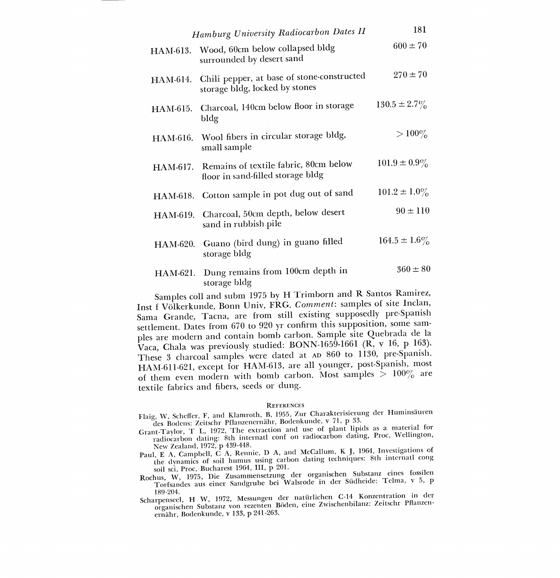|          | Hamburg University Radiocarbon Dates II                                      | 181               |
|----------|------------------------------------------------------------------------------|-------------------|
| HAM-613. | Wood, 60cm below collapsed bldg<br>surrounded by desert sand                 | $600 \pm 70$      |
| HAM-614. | Chili pepper, at base of stone-constructed<br>storage bldg, locked by stones | $270 \pm 70$      |
| HAM-615. | Charcoal, 140cm below floor in storage<br>bldg                               | $130.5 \pm 2.7\%$ |
|          | HAM-616. Wool fibers in circular storage bldg,<br>small sample               | $> 100\%$         |
| HAM-617. | Remains of textile fabric, 80cm below<br>floor in sand-filled storage bldg   | $101.9 \pm 0.9\%$ |
| HAM-618. | Cotton sample in pot dug out of sand                                         | $101.2 \pm 1.0\%$ |
| HAM-619. | Charcoal, 50cm depth, below desert<br>sand in rubbish pile                   | $90 \pm 110$      |
| HAM-620. | Guano (bird dung) in guano filled<br>storage bldg                            | $164.5 \pm 1.6\%$ |
| HAM-621. | Dung remains from 100cm depth in<br>storage bldg                             | $360 \pm 80$      |

Samples coil and subm 1975 by H Trimborn and R Santos Ramirez, Inst f Volkerkunde, Bonn Univ, FRG. Comment: samples of site Inclan, Sama Grande, Tacna, are from still existing supposedly pre-Spanish settlement. Dates from 670 to 920 yr confirm this supposition, some sam ples are modern and contain bomb carbon. Sample site Quebrada de la Vaca, Chala was previously studied: BONN-1659-1661 (R, v 16, p 163). These 3 charcoal samples were dated at AD 860 to 1130, pre-Spanish. HAM-611-621, except for HAM-613, are all younger, post-Spanish, most of them even modern with bomb carbon. Most samples  $> 100\%$  are textile fabrics and fibers, seeds or dung.

#### **REFERENCES**

- Flaig, W, Scheffer, F, and Klamroth, B, 1955, Zur Charakterisierung der Huminsauren des Bodens: Zeitschr Pflanzenernahr, Bodenkunde, v 71, p 33.
- Grant-Taylor, T L, 1972, The extraction and use of plant lipids as a material for radiocarbon dating: 8th internatl conf on radiocarbon dating, Proc, Wellington, New Zealand, 1972, p 439-448.
- Paul, E A, Campbell, C A, Rennie, D A, and McCallum, K J, 1964, Investigations of the dynamics of soil humus using carbon dating techniques: 8th internatl cong soil sci, Proc, Bucharest 1964, III, p 201.
- Rochus, W, 1975, Die Zusammensetzung der organischen Substanz eines fossilen Torfsandes aus einer Sandgrube bei Walsrode in der Südheide: Telma, v 5, p<br>189-204.
- 189-204. Scharpenseel, H W, 1972, Messungen der naturlichen C-14 Konzentration in der organischen Substanz von rezenten Boden, eine Zwischenbilanz: Zeitschr Pflanzenernahr, Bodenkunde, v 133, p 241-263.